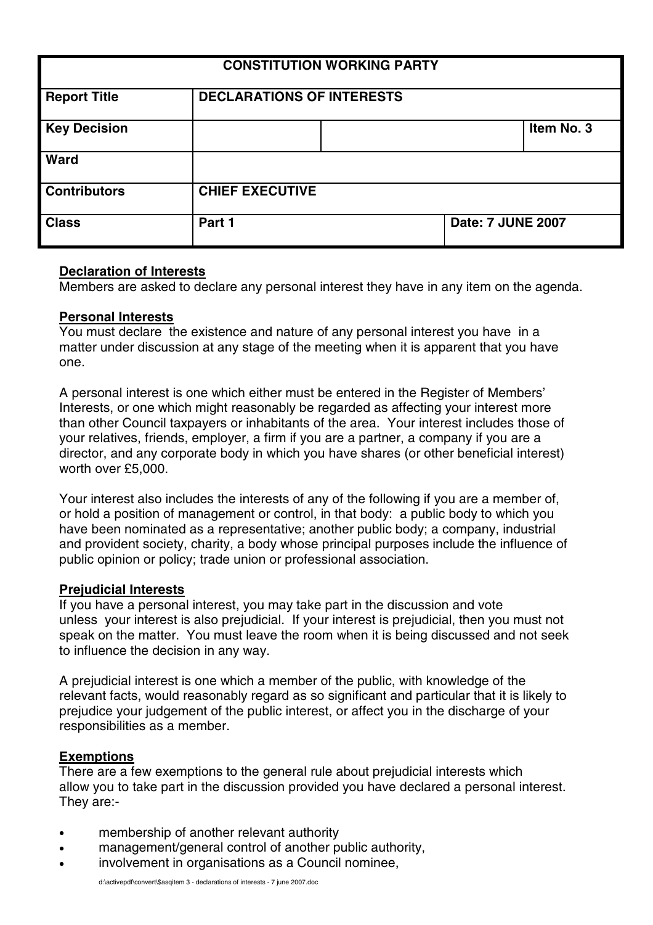| <b>CONSTITUTION WORKING PARTY</b> |                                  |  |                          |            |
|-----------------------------------|----------------------------------|--|--------------------------|------------|
| <b>Report Title</b>               | <b>DECLARATIONS OF INTERESTS</b> |  |                          |            |
| <b>Key Decision</b>               |                                  |  |                          | Item No. 3 |
| <b>Ward</b>                       |                                  |  |                          |            |
| <b>Contributors</b>               | <b>CHIEF EXECUTIVE</b>           |  |                          |            |
| <b>Class</b>                      | Part 1                           |  | <b>Date: 7 JUNE 2007</b> |            |

# **Declaration of Interests**

Members are asked to declare any personal interest they have in any item on the agenda.

#### **Personal Interests**

You must declare the existence and nature of any personal interest you have in a matter under discussion at any stage of the meeting when it is apparent that you have one.

A personal interest is one which either must be entered in the Register of Members' Interests, or one which might reasonably be regarded as affecting your interest more than other Council taxpayers or inhabitants of the area. Your interest includes those of your relatives, friends, employer, a firm if you are a partner, a company if you are a director, and any corporate body in which you have shares (or other beneficial interest) worth over £5,000.

Your interest also includes the interests of any of the following if you are a member of, or hold a position of management or control, in that body: a public body to which you have been nominated as a representative; another public body; a company, industrial and provident society, charity, a body whose principal purposes include the influence of public opinion or policy; trade union or professional association.

#### **Prejudicial Interests**

If you have a personal interest, you may take part in the discussion and vote unless your interest is also prejudicial. If your interest is prejudicial, then you must not speak on the matter. You must leave the room when it is being discussed and not seek to influence the decision in any way.

A prejudicial interest is one which a member of the public, with knowledge of the relevant facts, would reasonably regard as so significant and particular that it is likely to prejudice your judgement of the public interest, or affect you in the discharge of your responsibilities as a member.

## **Exemptions**

There are a few exemptions to the general rule about prejudicial interests which allow you to take part in the discussion provided you have declared a personal interest. They are:-

- membership of another relevant authority
- management/general control of another public authority,
- involvement in organisations as a Council nominee,